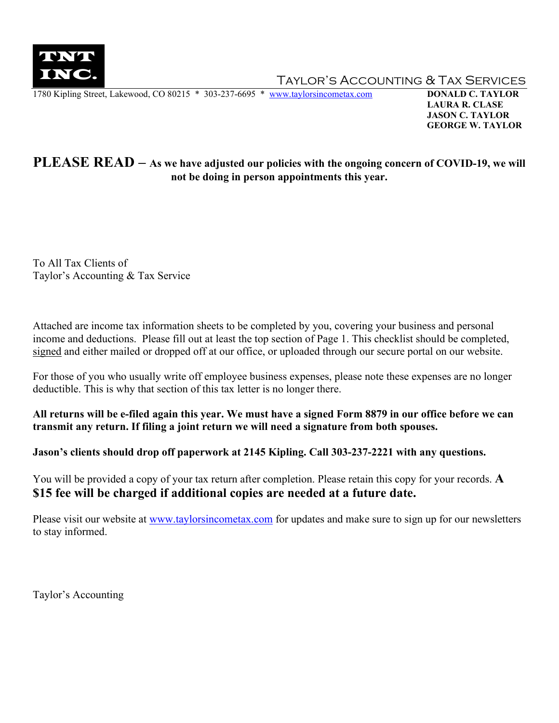

TAYLOR'S ACCOUNTING & TAX SERVICES

1780 Kipling Street, Lakewood, CO 80215 \* 303-237-6695 \* [www.taylorsincometax.com](http://www.taylorsincometax.com/) **DONALD C. TAYLOR**

 **LAURA R. CLASE JASON C. TAYLOR GEORGE W. TAYLOR**

### **PLEASE READ – As we have adjusted our policies with the ongoing concern of COVID-19, we will not be doing in person appointments this year.**

To All Tax Clients of Taylor's Accounting & Tax Service

Attached are income tax information sheets to be completed by you, covering your business and personal income and deductions. Please fill out at least the top section of Page 1. This checklist should be completed, signed and either mailed or dropped off at our office, or uploaded through our secure portal on our website.

For those of you who usually write off employee business expenses, please note these expenses are no longer deductible. This is why that section of this tax letter is no longer there.

**All returns will be e-filed again this year. We must have a signed Form 8879 in our office before we can transmit any return. If filing a joint return we will need a signature from both spouses.**

**Jason's clients should drop off paperwork at 2145 Kipling. Call 303-237-2221 with any questions.**

You will be provided a copy of your tax return after completion. Please retain this copy for your records. **A \$15 fee will be charged if additional copies are needed at a future date.**

Please visit our website at [www.taylorsincometax.com](http://www.taylorsincometax.com/) for updates and make sure to sign up for our newsletters to stay informed.

Taylor's Accounting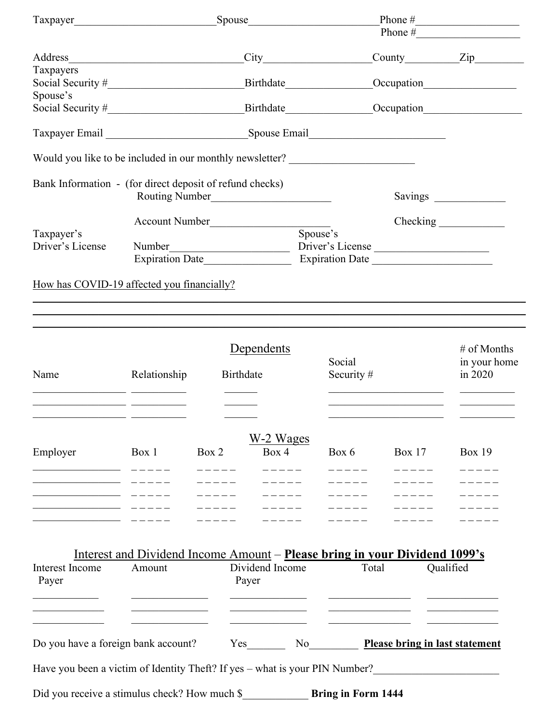|                                                                                                                                                                                                                                |                                                                                   |       |                          |              | Phone $\#$<br>Phone $\#$                 |                         |  |  |
|--------------------------------------------------------------------------------------------------------------------------------------------------------------------------------------------------------------------------------|-----------------------------------------------------------------------------------|-------|--------------------------|--------------|------------------------------------------|-------------------------|--|--|
| Address                                                                                                                                                                                                                        | <u> 1989 - Johann John Stein, mars an deus Amerikaansk kommunister (</u>          |       |                          |              |                                          | City County Zip         |  |  |
| Taxpayers                                                                                                                                                                                                                      |                                                                                   |       |                          |              |                                          |                         |  |  |
| Social Security #<br>Spouse's                                                                                                                                                                                                  |                                                                                   |       |                          |              |                                          | Birthdate Occupation    |  |  |
| Social Security # Social Security # Social Security # Social Security # Social Security # Social Security # Social Security # Social Security # Social Security # Social Security # Social Security # Social Security # Social |                                                                                   |       |                          |              |                                          |                         |  |  |
|                                                                                                                                                                                                                                |                                                                                   |       |                          |              |                                          |                         |  |  |
| Would you like to be included in our monthly newsletter? _______________________                                                                                                                                               |                                                                                   |       |                          |              |                                          |                         |  |  |
| Bank Information - (for direct deposit of refund checks)                                                                                                                                                                       |                                                                                   |       |                          |              |                                          |                         |  |  |
|                                                                                                                                                                                                                                |                                                                                   |       | Account Number           |              |                                          | Checking                |  |  |
| Taxpayer's                                                                                                                                                                                                                     |                                                                                   |       |                          | Spouse's     |                                          |                         |  |  |
| Driver's License                                                                                                                                                                                                               |                                                                                   |       |                          |              | Driver's License                         |                         |  |  |
|                                                                                                                                                                                                                                |                                                                                   |       | Expiration Date          |              |                                          |                         |  |  |
| How has COVID-19 affected you financially?                                                                                                                                                                                     |                                                                                   |       |                          |              |                                          |                         |  |  |
|                                                                                                                                                                                                                                |                                                                                   |       |                          |              |                                          |                         |  |  |
|                                                                                                                                                                                                                                |                                                                                   |       |                          |              |                                          |                         |  |  |
|                                                                                                                                                                                                                                |                                                                                   |       |                          |              |                                          |                         |  |  |
|                                                                                                                                                                                                                                |                                                                                   |       | Dependents               | Social       |                                          | # of Months             |  |  |
| Name                                                                                                                                                                                                                           | Relationship                                                                      |       | Birthdate                | Security $#$ |                                          | in your home<br>in 2020 |  |  |
|                                                                                                                                                                                                                                |                                                                                   |       |                          |              |                                          |                         |  |  |
|                                                                                                                                                                                                                                |                                                                                   |       |                          |              |                                          |                         |  |  |
|                                                                                                                                                                                                                                | <u> 1989 - Johann John Harry Barnett, amerikansk fotballst</u>                    |       |                          |              |                                          |                         |  |  |
|                                                                                                                                                                                                                                |                                                                                   |       | W-2 Wages                |              |                                          |                         |  |  |
| Employer                                                                                                                                                                                                                       | Box 1                                                                             | Box 2 | Box 4                    | Box $6$      | Box 17                                   | <b>Box 19</b>           |  |  |
|                                                                                                                                                                                                                                |                                                                                   |       |                          |              |                                          |                         |  |  |
|                                                                                                                                                                                                                                |                                                                                   |       |                          |              |                                          |                         |  |  |
|                                                                                                                                                                                                                                |                                                                                   |       |                          |              |                                          |                         |  |  |
|                                                                                                                                                                                                                                |                                                                                   |       |                          |              |                                          |                         |  |  |
|                                                                                                                                                                                                                                |                                                                                   |       |                          |              |                                          |                         |  |  |
|                                                                                                                                                                                                                                | <u>Interest and Dividend Income Amount – Please bring in your Dividend 1099's</u> |       |                          |              |                                          |                         |  |  |
| Interest Income<br>Amount<br>Payer                                                                                                                                                                                             |                                                                                   |       | Dividend Income<br>Payer |              | Total                                    | Qualified               |  |  |
|                                                                                                                                                                                                                                |                                                                                   |       |                          |              |                                          |                         |  |  |
|                                                                                                                                                                                                                                |                                                                                   |       |                          |              |                                          |                         |  |  |
| Do you have a foreign bank account?                                                                                                                                                                                            |                                                                                   |       |                          |              | No <b>Please bring in last statement</b> |                         |  |  |
| Have you been a victim of Identity Theft? If yes – what is your PIN Number?                                                                                                                                                    |                                                                                   |       |                          |              |                                          |                         |  |  |
| Did you receive a stimulus check? How much \$ Bring in Form 1444                                                                                                                                                               |                                                                                   |       |                          |              |                                          |                         |  |  |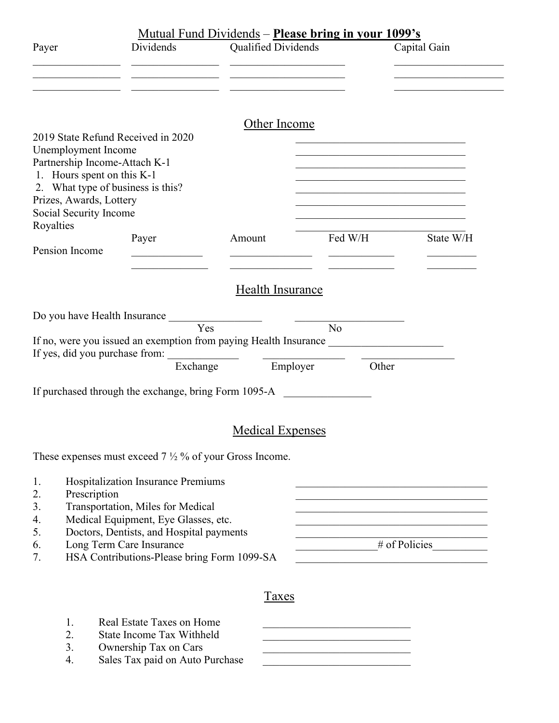|                                                                                                                                                                                                                    |                                                                                                                                                                                                                                        |                         | <u> Mutual Fund Dividends – Please bring in your 1099's</u>                                                                                                                                                             |                                                                                                                       |
|--------------------------------------------------------------------------------------------------------------------------------------------------------------------------------------------------------------------|----------------------------------------------------------------------------------------------------------------------------------------------------------------------------------------------------------------------------------------|-------------------------|-------------------------------------------------------------------------------------------------------------------------------------------------------------------------------------------------------------------------|-----------------------------------------------------------------------------------------------------------------------|
| Payer                                                                                                                                                                                                              | Dividends                                                                                                                                                                                                                              | Qualified Dividends     |                                                                                                                                                                                                                         | Capital Gain                                                                                                          |
|                                                                                                                                                                                                                    |                                                                                                                                                                                                                                        | Other Income            |                                                                                                                                                                                                                         |                                                                                                                       |
| 2019 State Refund Received in 2020<br>Unemployment Income<br>Partnership Income-Attach K-1<br>1. Hours spent on this K-1<br>2. What type of business is this?<br>Prizes, Awards, Lottery<br>Social Security Income |                                                                                                                                                                                                                                        |                         | the control of the control of the control of the control of the control of<br><u> 1989 - Johann John Stone, market fransk politiker (</u><br>the control of the control of the control of the control of the control of | <u> 1989 - Johann John Stein, market fan it ferskearre fan it ferskearre fan it ferskearre fan it ferskearre fan </u> |
| Royalties<br>Pension Income                                                                                                                                                                                        | Payer                                                                                                                                                                                                                                  | Amount                  | Fed W/H                                                                                                                                                                                                                 | State W/H                                                                                                             |
|                                                                                                                                                                                                                    |                                                                                                                                                                                                                                        | Health Insurance        |                                                                                                                                                                                                                         |                                                                                                                       |
|                                                                                                                                                                                                                    | Do you have Health Insurance                                                                                                                                                                                                           |                         |                                                                                                                                                                                                                         |                                                                                                                       |
|                                                                                                                                                                                                                    | Yes                                                                                                                                                                                                                                    |                         | No<br>If no, were you issued an exemption from paying Health Insurance ________________                                                                                                                                 |                                                                                                                       |
|                                                                                                                                                                                                                    | Exchange                                                                                                                                                                                                                               | Employer                | Other                                                                                                                                                                                                                   |                                                                                                                       |
|                                                                                                                                                                                                                    | If purchased through the exchange, bring Form 1095-A                                                                                                                                                                                   |                         |                                                                                                                                                                                                                         |                                                                                                                       |
|                                                                                                                                                                                                                    |                                                                                                                                                                                                                                        | <b>Medical Expenses</b> |                                                                                                                                                                                                                         |                                                                                                                       |
|                                                                                                                                                                                                                    | These expenses must exceed $7\frac{1}{2}$ % of your Gross Income.                                                                                                                                                                      |                         |                                                                                                                                                                                                                         |                                                                                                                       |
| 1.<br>Prescription<br>2.<br>3.<br>4.<br>5.<br>6.<br>7.                                                                                                                                                             | Hospitalization Insurance Premiums<br>Transportation, Miles for Medical<br>Medical Equipment, Eye Glasses, etc.<br>Doctors, Dentists, and Hospital payments<br>Long Term Care Insurance<br>HSA Contributions-Please bring Form 1099-SA |                         |                                                                                                                                                                                                                         | # of Policies                                                                                                         |
|                                                                                                                                                                                                                    |                                                                                                                                                                                                                                        | Taxes                   |                                                                                                                                                                                                                         |                                                                                                                       |
| 1.<br>2.                                                                                                                                                                                                           | Real Estate Taxes on Home<br><b>State Income Tax Withheld</b>                                                                                                                                                                          |                         |                                                                                                                                                                                                                         |                                                                                                                       |

- 3. Ownership Tax on Cars
- 4. Sales Tax paid on Auto Purchase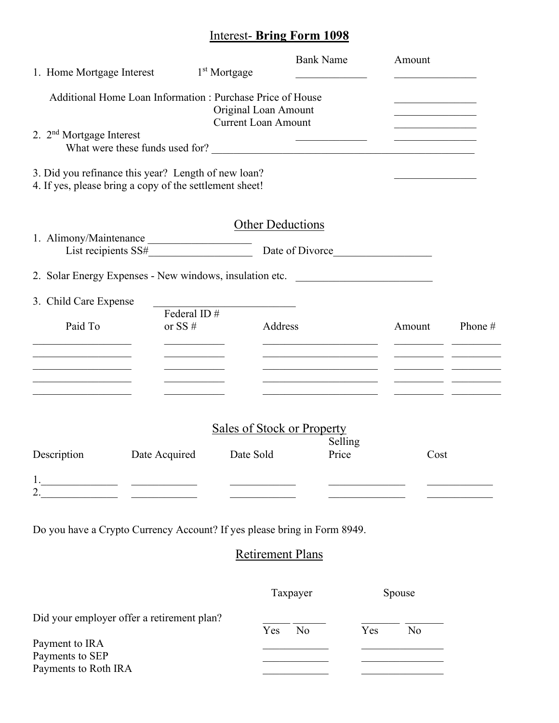## Interest- **Bring Form 1098**

| 1. Home Mortgage Interest                                                                                             |                                                           | 1 <sup>st</sup> Mortgage                           | <b>Bank Name</b>                                                                                                              | Amount                                  |         |
|-----------------------------------------------------------------------------------------------------------------------|-----------------------------------------------------------|----------------------------------------------------|-------------------------------------------------------------------------------------------------------------------------------|-----------------------------------------|---------|
| 2. 2 <sup>nd</sup> Mortgage Interest                                                                                  | Additional Home Loan Information: Purchase Price of House | Original Loan Amount<br><b>Current Loan Amount</b> |                                                                                                                               | <u> 1990 - Johann Barbara, martin a</u> |         |
|                                                                                                                       |                                                           |                                                    |                                                                                                                               |                                         |         |
| 3. Did you refinance this year? Length of new loan?<br>4. If yes, please bring a copy of the settlement sheet!        |                                                           |                                                    |                                                                                                                               |                                         |         |
|                                                                                                                       |                                                           | <b>Other Deductions</b>                            |                                                                                                                               |                                         |         |
| 1. Alimony/Maintenance<br>List recipients SS#                                                                         |                                                           |                                                    |                                                                                                                               |                                         |         |
| 2. Solar Energy Expenses - New windows, insulation etc.                                                               |                                                           |                                                    |                                                                                                                               |                                         |         |
| 3. Child Care Expense                                                                                                 | Federal ID#                                               |                                                    |                                                                                                                               |                                         |         |
| Paid To<br>the control of the control of the control of                                                               | or SS $#$<br>the control of the control of the            | Address                                            | <u> 1999 - Johann John Stone, mars et al. 1999 - John Stone, mars et al. 1999 - John Stone, mars et al. 1999 - John Stone</u> | Amount                                  | Phone # |
|                                                                                                                       |                                                           |                                                    | <u> 1989 - Johann Barbara, martin a</u>                                                                                       |                                         |         |
| <u> 1989 - Johann John Stoff, deutscher Stoffen und der Stoffen und der Stoffen und der Stoffen und der Stoffen u</u> |                                                           |                                                    |                                                                                                                               |                                         |         |
|                                                                                                                       |                                                           |                                                    | <b>Sales of Stock or Property</b>                                                                                             |                                         |         |
| Description                                                                                                           | Date Acquired                                             | Date Sold                                          | Selling<br>Price                                                                                                              | Cost                                    |         |
|                                                                                                                       |                                                           |                                                    |                                                                                                                               |                                         |         |
| Do you have a Crypto Currency Account? If yes please bring in Form 8949.                                              |                                                           |                                                    |                                                                                                                               |                                         |         |
|                                                                                                                       |                                                           | <b>Retirement Plans</b>                            |                                                                                                                               |                                         |         |
|                                                                                                                       |                                                           |                                                    | Taxpayer                                                                                                                      | Spouse                                  |         |
| Did your employer offer a retirement plan?                                                                            |                                                           | Yes                                                | No                                                                                                                            | Yes<br>No                               |         |

| Payment to IRA       |  |
|----------------------|--|
| Payments to SEP      |  |
| Payments to Roth IRA |  |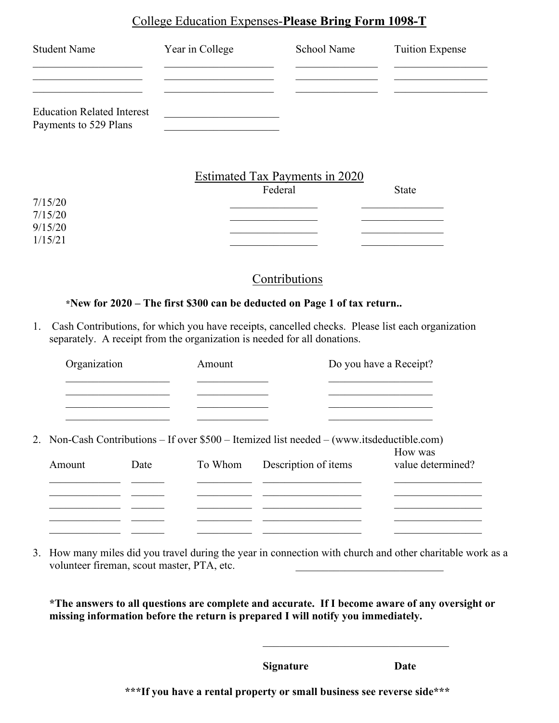#### College Education Expenses-**Please Bring Form 1098-T**

| <b>Student Name</b>                                        | Year in College | School Name                               | <b>Tuition Expense</b> |
|------------------------------------------------------------|-----------------|-------------------------------------------|------------------------|
|                                                            |                 |                                           |                        |
| <b>Education Related Interest</b><br>Payments to 529 Plans |                 |                                           |                        |
|                                                            |                 | Estimated Tax Payments in 2020<br>Federal | <b>State</b>           |
| 7/15/20                                                    |                 |                                           |                        |
| 7/15/20                                                    |                 |                                           |                        |
| 9/15/20                                                    |                 |                                           |                        |
| 1/15/21                                                    |                 |                                           |                        |

### Contributions

#### **\*New for 2020 – The first \$300 can be deducted on Page 1 of tax return..**

1. Cash Contributions, for which you have receipts, cancelled checks. Please list each organization separately. A receipt from the organization is needed for all donations.

| Organization |      | Amount  |                                                                                            | Do you have a Receipt? |  |  |
|--------------|------|---------|--------------------------------------------------------------------------------------------|------------------------|--|--|
|              |      |         |                                                                                            |                        |  |  |
|              |      |         |                                                                                            |                        |  |  |
|              |      |         | 2. Non-Cash Contributions – If over \$500 – Itemized list needed – (www.itsdeductible.com) | How was                |  |  |
| Amount       | Date | To Whom | Description of items                                                                       | value determined?      |  |  |
|              |      |         |                                                                                            |                        |  |  |
|              |      |         |                                                                                            |                        |  |  |
|              |      |         |                                                                                            |                        |  |  |

3. How many miles did you travel during the year in connection with church and other charitable work as a volunteer fireman, scout master, PTA, etc.

**\*The answers to all questions are complete and accurate. If I become aware of any oversight or missing information before the return is prepared I will notify you immediately.**

**Signature Date**

**\*\*\*If you have a rental property or small business see reverse side\*\*\***